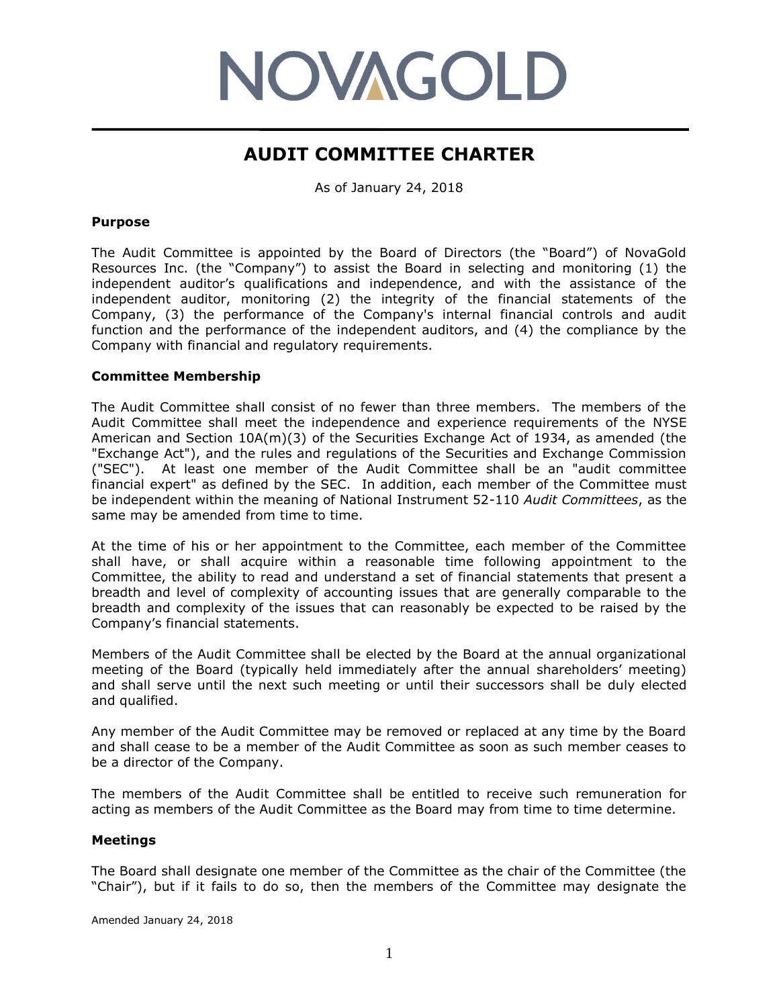# **NOVAGOLD**

# **AUDIT COMMITTEE CHARTER**

As of January 24, 2018

#### **Purpose**

The Audit Committee is appointed by the Board of Directors (the "Board") of NovaGold Resources Inc. (the "Company") to assist the Board in selecting and monitoring (1) the independent auditor's qualifications and independence, and with the assistance of the independent auditor, monitoring (2) the integrity of the financial statements of the Company, (3) the performance of the Company's internal financial controls and audit function and the performance of the independent auditors, and (4) the compliance by the Company with financial and regulatory requirements.

#### **Committee Membership**

The Audit Committee shall consist of no fewer than three members. The members of the Audit Committee shall meet the independence and experience requirements of the NYSE American and Section 10A(m)(3) of the Securities Exchange Act of 1934, as amended (the "Exchange Act"), and the rules and regulations of the Securities and Exchange Commission ("SEC"). At least one member of the Audit Committee shall be an "audit committee financial expert" as defined by the SEC. In addition, each member of the Committee must be independent within the meaning of National Instrument 52-110 *Audit Committees*, as the same may be amended from time to time.

At the time of his or her appointment to the Committee, each member of the Committee shall have, or shall acquire within a reasonable time following appointment to the Committee, the ability to read and understand a set of financial statements that present a breadth and level of complexity of accounting issues that are generally comparable to the breadth and complexity of the issues that can reasonably be expected to be raised by the Company's financial statements.

Members of the Audit Committee shall be elected by the Board at the annual organizational meeting of the Board (typically held immediately after the annual shareholders' meeting) and shall serve until the next such meeting or until their successors shall be duly elected and qualified.

Any member of the Audit Committee may be removed or replaced at any time by the Board and shall cease to be a member of the Audit Committee as soon as such member ceases to be a director of the Company.

The members of the Audit Committee shall be entitled to receive such remuneration for acting as members of the Audit Committee as the Board may from time to time determine.

# **Meetings**

The Board shall designate one member of the Committee as the chair of the Committee (the "Chair"), but if it fails to do so, then the members of the Committee may designate the

Amended January 24, 2018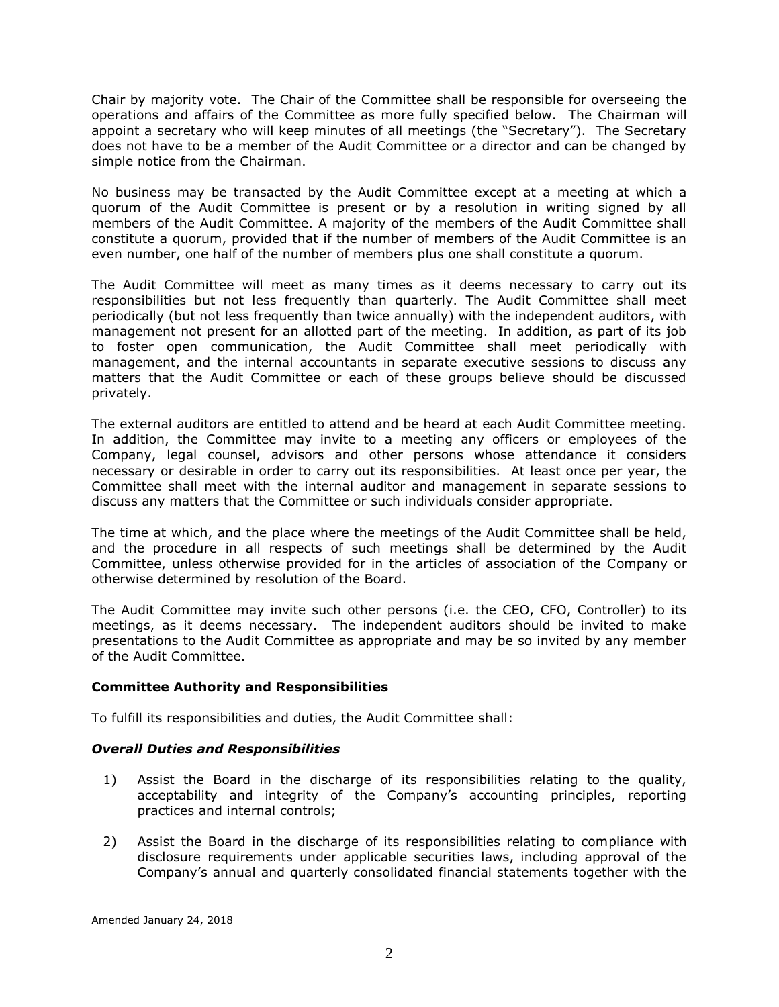Chair by majority vote. The Chair of the Committee shall be responsible for overseeing the operations and affairs of the Committee as more fully specified below. The Chairman will appoint a secretary who will keep minutes of all meetings (the "Secretary"). The Secretary does not have to be a member of the Audit Committee or a director and can be changed by simple notice from the Chairman.

No business may be transacted by the Audit Committee except at a meeting at which a quorum of the Audit Committee is present or by a resolution in writing signed by all members of the Audit Committee. A majority of the members of the Audit Committee shall constitute a quorum, provided that if the number of members of the Audit Committee is an even number, one half of the number of members plus one shall constitute a quorum.

The Audit Committee will meet as many times as it deems necessary to carry out its responsibilities but not less frequently than quarterly. The Audit Committee shall meet periodically (but not less frequently than twice annually) with the independent auditors, with management not present for an allotted part of the meeting. In addition, as part of its job to foster open communication, the Audit Committee shall meet periodically with management, and the internal accountants in separate executive sessions to discuss any matters that the Audit Committee or each of these groups believe should be discussed privately.

The external auditors are entitled to attend and be heard at each Audit Committee meeting. In addition, the Committee may invite to a meeting any officers or employees of the Company, legal counsel, advisors and other persons whose attendance it considers necessary or desirable in order to carry out its responsibilities. At least once per year, the Committee shall meet with the internal auditor and management in separate sessions to discuss any matters that the Committee or such individuals consider appropriate.

The time at which, and the place where the meetings of the Audit Committee shall be held, and the procedure in all respects of such meetings shall be determined by the Audit Committee, unless otherwise provided for in the articles of association of the Company or otherwise determined by resolution of the Board.

The Audit Committee may invite such other persons (i.e. the CEO, CFO, Controller) to its meetings, as it deems necessary. The independent auditors should be invited to make presentations to the Audit Committee as appropriate and may be so invited by any member of the Audit Committee.

# **Committee Authority and Responsibilities**

To fulfill its responsibilities and duties, the Audit Committee shall:

# *Overall Duties and Responsibilities*

- 1) Assist the Board in the discharge of its responsibilities relating to the quality, acceptability and integrity of the Company's accounting principles, reporting practices and internal controls;
- 2) Assist the Board in the discharge of its responsibilities relating to compliance with disclosure requirements under applicable securities laws, including approval of the Company's annual and quarterly consolidated financial statements together with the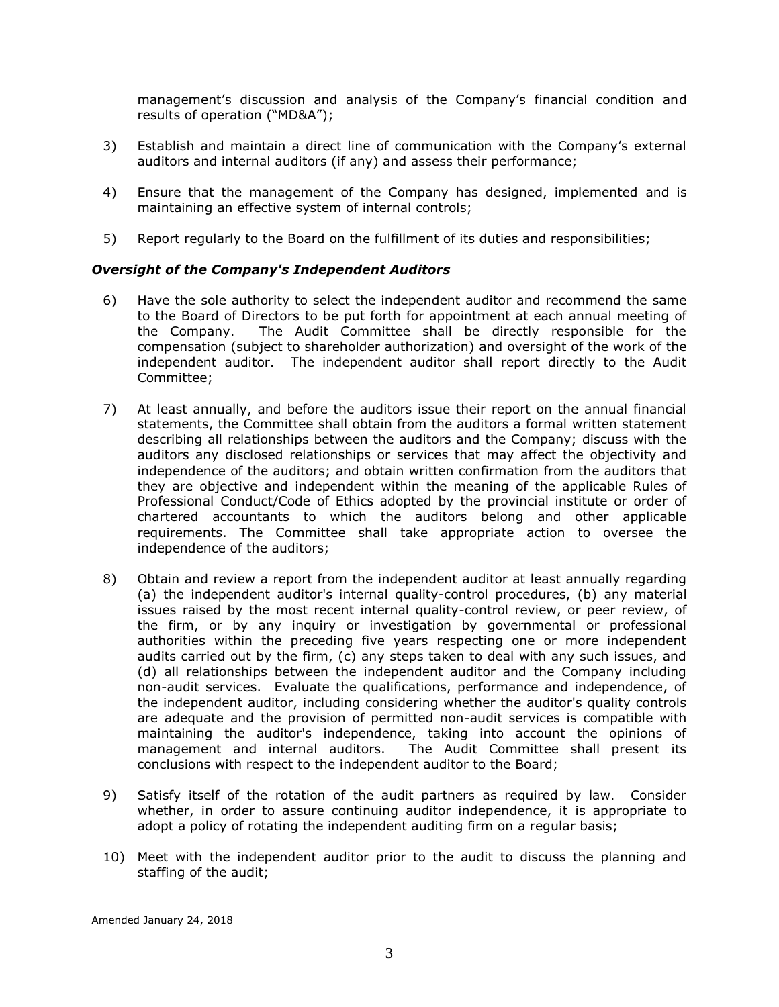management's discussion and analysis of the Company's financial condition and results of operation ("MD&A");

- 3) Establish and maintain a direct line of communication with the Company's external auditors and internal auditors (if any) and assess their performance;
- 4) Ensure that the management of the Company has designed, implemented and is maintaining an effective system of internal controls;
- 5) Report regularly to the Board on the fulfillment of its duties and responsibilities;

# *Oversight of the Company's Independent Auditors*

- 6) Have the sole authority to select the independent auditor and recommend the same to the Board of Directors to be put forth for appointment at each annual meeting of the Company. The Audit Committee shall be directly responsible for the compensation (subject to shareholder authorization) and oversight of the work of the independent auditor. The independent auditor shall report directly to the Audit Committee;
- 7) At least annually, and before the auditors issue their report on the annual financial statements, the Committee shall obtain from the auditors a formal written statement describing all relationships between the auditors and the Company; discuss with the auditors any disclosed relationships or services that may affect the objectivity and independence of the auditors; and obtain written confirmation from the auditors that they are objective and independent within the meaning of the applicable Rules of Professional Conduct/Code of Ethics adopted by the provincial institute or order of chartered accountants to which the auditors belong and other applicable requirements. The Committee shall take appropriate action to oversee the independence of the auditors;
- 8) Obtain and review a report from the independent auditor at least annually regarding (a) the independent auditor's internal quality-control procedures, (b) any material issues raised by the most recent internal quality-control review, or peer review, of the firm, or by any inquiry or investigation by governmental or professional authorities within the preceding five years respecting one or more independent audits carried out by the firm, (c) any steps taken to deal with any such issues, and (d) all relationships between the independent auditor and the Company including non-audit services. Evaluate the qualifications, performance and independence, of the independent auditor, including considering whether the auditor's quality controls are adequate and the provision of permitted non-audit services is compatible with maintaining the auditor's independence, taking into account the opinions of management and internal auditors. The Audit Committee shall present its conclusions with respect to the independent auditor to the Board;
- 9) Satisfy itself of the rotation of the audit partners as required by law. Consider whether, in order to assure continuing auditor independence, it is appropriate to adopt a policy of rotating the independent auditing firm on a regular basis;
- 10) Meet with the independent auditor prior to the audit to discuss the planning and staffing of the audit;

Amended January 24, 2018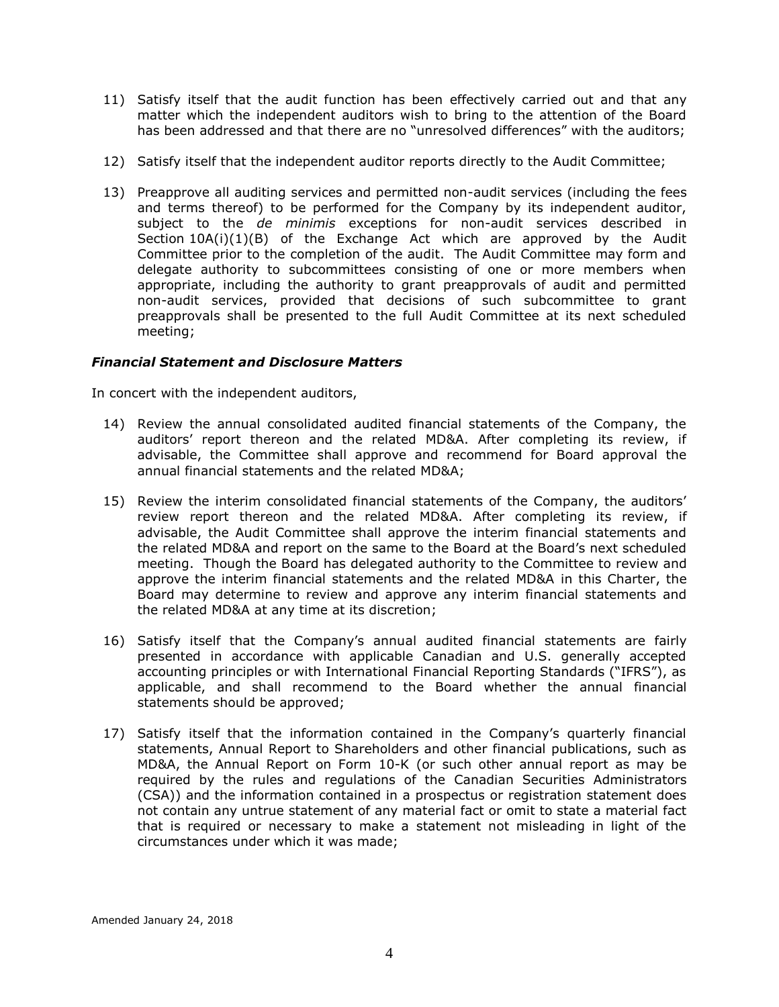- 11) Satisfy itself that the audit function has been effectively carried out and that any matter which the independent auditors wish to bring to the attention of the Board has been addressed and that there are no "unresolved differences" with the auditors;
- 12) Satisfy itself that the independent auditor reports directly to the Audit Committee;
- 13) Preapprove all auditing services and permitted non-audit services (including the fees and terms thereof) to be performed for the Company by its independent auditor, subject to the *de minimis* exceptions for non-audit services described in Section  $10A(i)(1)(B)$  of the Exchange Act which are approved by the Audit Committee prior to the completion of the audit. The Audit Committee may form and delegate authority to subcommittees consisting of one or more members when appropriate, including the authority to grant preapprovals of audit and permitted non-audit services, provided that decisions of such subcommittee to grant preapprovals shall be presented to the full Audit Committee at its next scheduled meeting;

# *Financial Statement and Disclosure Matters*

In concert with the independent auditors,

- 14) Review the annual consolidated audited financial statements of the Company, the auditors' report thereon and the related MD&A. After completing its review, if advisable, the Committee shall approve and recommend for Board approval the annual financial statements and the related MD&A;
- 15) Review the interim consolidated financial statements of the Company, the auditors' review report thereon and the related MD&A. After completing its review, if advisable, the Audit Committee shall approve the interim financial statements and the related MD&A and report on the same to the Board at the Board's next scheduled meeting. Though the Board has delegated authority to the Committee to review and approve the interim financial statements and the related MD&A in this Charter, the Board may determine to review and approve any interim financial statements and the related MD&A at any time at its discretion;
- 16) Satisfy itself that the Company's annual audited financial statements are fairly presented in accordance with applicable Canadian and U.S. generally accepted accounting principles or with International Financial Reporting Standards ("IFRS"), as applicable, and shall recommend to the Board whether the annual financial statements should be approved;
- 17) Satisfy itself that the information contained in the Company's quarterly financial statements, Annual Report to Shareholders and other financial publications, such as MD&A, the Annual Report on Form 10-K (or such other annual report as may be required by the rules and regulations of the Canadian Securities Administrators (CSA)) and the information contained in a prospectus or registration statement does not contain any untrue statement of any material fact or omit to state a material fact that is required or necessary to make a statement not misleading in light of the circumstances under which it was made;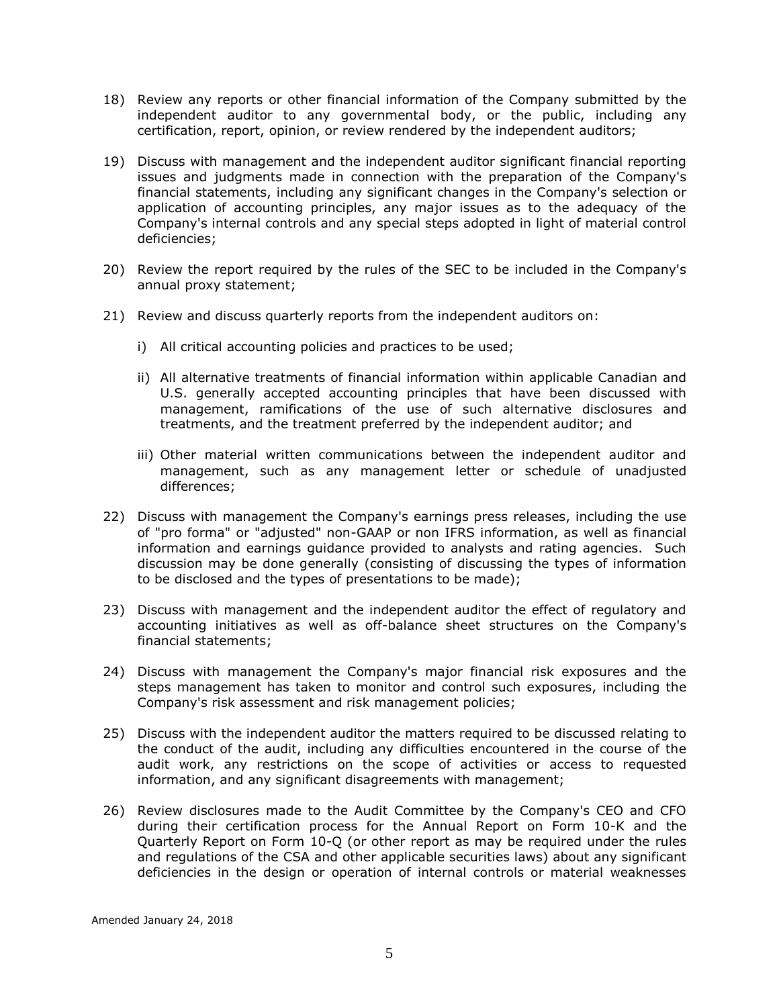- 18) Review any reports or other financial information of the Company submitted by the independent auditor to any governmental body, or the public, including any certification, report, opinion, or review rendered by the independent auditors;
- 19) Discuss with management and the independent auditor significant financial reporting issues and judgments made in connection with the preparation of the Company's financial statements, including any significant changes in the Company's selection or application of accounting principles, any major issues as to the adequacy of the Company's internal controls and any special steps adopted in light of material control deficiencies;
- 20) Review the report required by the rules of the SEC to be included in the Company's annual proxy statement;
- 21) Review and discuss quarterly reports from the independent auditors on:
	- i) All critical accounting policies and practices to be used;
	- ii) All alternative treatments of financial information within applicable Canadian and U.S. generally accepted accounting principles that have been discussed with management, ramifications of the use of such alternative disclosures and treatments, and the treatment preferred by the independent auditor; and
	- iii) Other material written communications between the independent auditor and management, such as any management letter or schedule of unadjusted differences;
- 22) Discuss with management the Company's earnings press releases, including the use of "pro forma" or "adjusted" non-GAAP or non IFRS information, as well as financial information and earnings guidance provided to analysts and rating agencies. Such discussion may be done generally (consisting of discussing the types of information to be disclosed and the types of presentations to be made);
- 23) Discuss with management and the independent auditor the effect of regulatory and accounting initiatives as well as off-balance sheet structures on the Company's financial statements;
- 24) Discuss with management the Company's major financial risk exposures and the steps management has taken to monitor and control such exposures, including the Company's risk assessment and risk management policies;
- 25) Discuss with the independent auditor the matters required to be discussed relating to the conduct of the audit, including any difficulties encountered in the course of the audit work, any restrictions on the scope of activities or access to requested information, and any significant disagreements with management;
- 26) Review disclosures made to the Audit Committee by the Company's CEO and CFO during their certification process for the Annual Report on Form 10-K and the Quarterly Report on Form 10-Q (or other report as may be required under the rules and regulations of the CSA and other applicable securities laws) about any significant deficiencies in the design or operation of internal controls or material weaknesses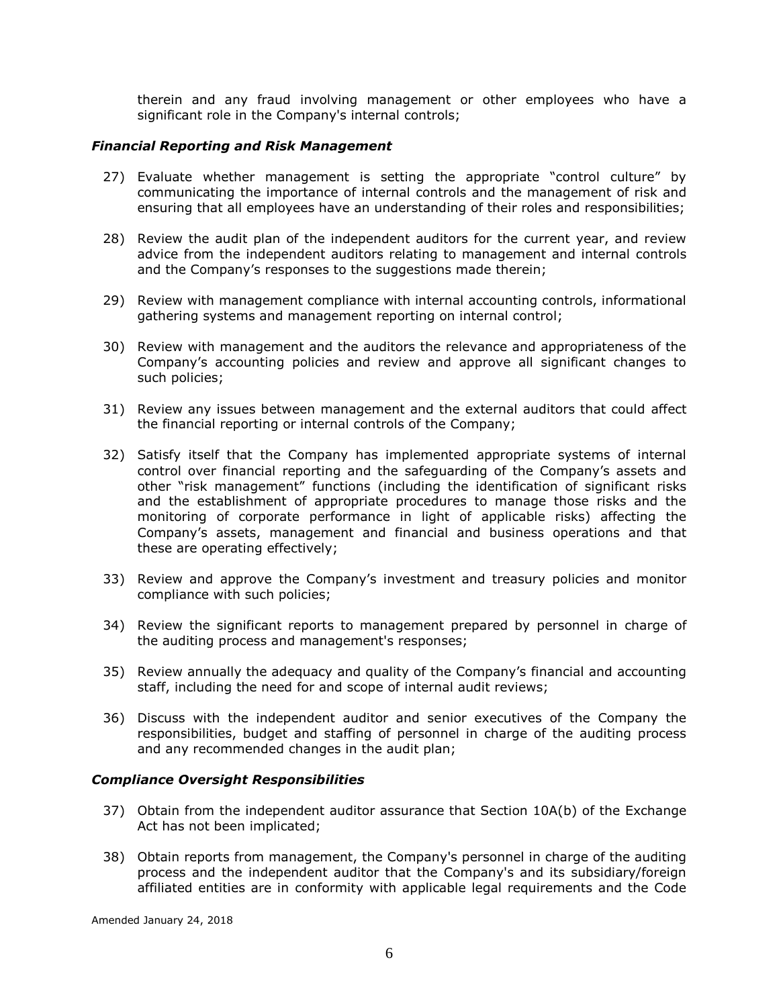therein and any fraud involving management or other employees who have a significant role in the Company's internal controls;

# *Financial Reporting and Risk Management*

- 27) Evaluate whether management is setting the appropriate "control culture" by communicating the importance of internal controls and the management of risk and ensuring that all employees have an understanding of their roles and responsibilities;
- 28) Review the audit plan of the independent auditors for the current year, and review advice from the independent auditors relating to management and internal controls and the Company's responses to the suggestions made therein;
- 29) Review with management compliance with internal accounting controls, informational gathering systems and management reporting on internal control;
- 30) Review with management and the auditors the relevance and appropriateness of the Company's accounting policies and review and approve all significant changes to such policies;
- 31) Review any issues between management and the external auditors that could affect the financial reporting or internal controls of the Company;
- 32) Satisfy itself that the Company has implemented appropriate systems of internal control over financial reporting and the safeguarding of the Company's assets and other "risk management" functions (including the identification of significant risks and the establishment of appropriate procedures to manage those risks and the monitoring of corporate performance in light of applicable risks) affecting the Company's assets, management and financial and business operations and that these are operating effectively;
- 33) Review and approve the Company's investment and treasury policies and monitor compliance with such policies;
- 34) Review the significant reports to management prepared by personnel in charge of the auditing process and management's responses;
- 35) Review annually the adequacy and quality of the Company's financial and accounting staff, including the need for and scope of internal audit reviews;
- 36) Discuss with the independent auditor and senior executives of the Company the responsibilities, budget and staffing of personnel in charge of the auditing process and any recommended changes in the audit plan;

#### *Compliance Oversight Responsibilities*

- 37) Obtain from the independent auditor assurance that Section 10A(b) of the Exchange Act has not been implicated;
- 38) Obtain reports from management, the Company's personnel in charge of the auditing process and the independent auditor that the Company's and its subsidiary/foreign affiliated entities are in conformity with applicable legal requirements and the Code

Amended January 24, 2018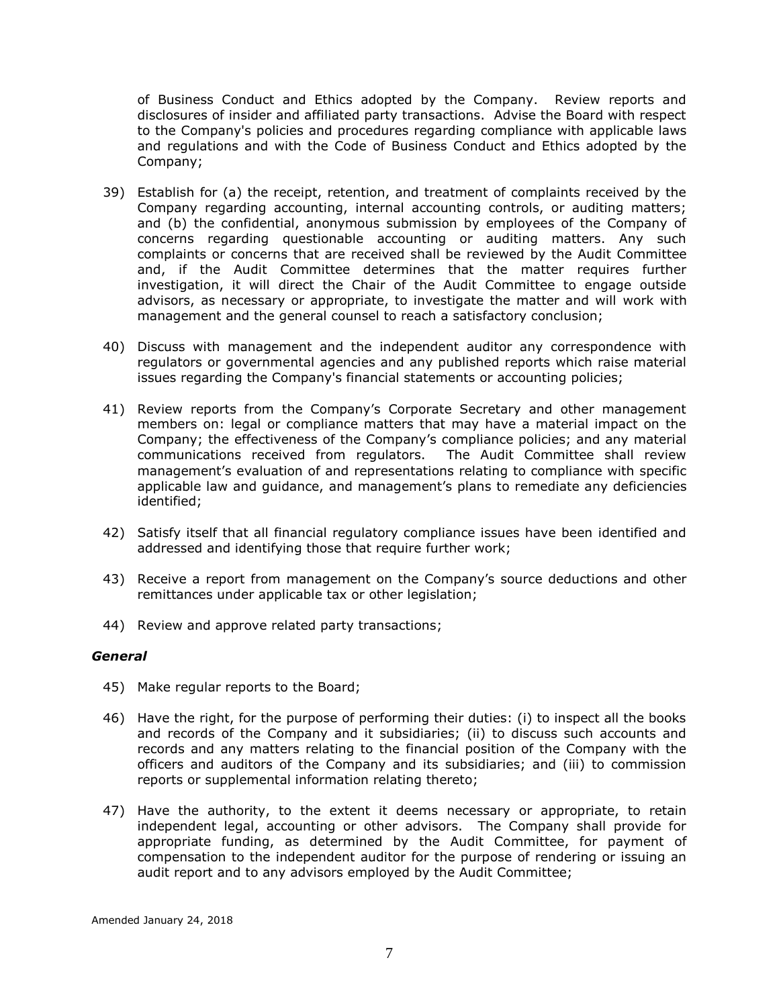of Business Conduct and Ethics adopted by the Company. Review reports and disclosures of insider and affiliated party transactions. Advise the Board with respect to the Company's policies and procedures regarding compliance with applicable laws and regulations and with the Code of Business Conduct and Ethics adopted by the Company;

- 39) Establish for (a) the receipt, retention, and treatment of complaints received by the Company regarding accounting, internal accounting controls, or auditing matters; and (b) the confidential, anonymous submission by employees of the Company of concerns regarding questionable accounting or auditing matters. Any such complaints or concerns that are received shall be reviewed by the Audit Committee and, if the Audit Committee determines that the matter requires further investigation, it will direct the Chair of the Audit Committee to engage outside advisors, as necessary or appropriate, to investigate the matter and will work with management and the general counsel to reach a satisfactory conclusion;
- 40) Discuss with management and the independent auditor any correspondence with regulators or governmental agencies and any published reports which raise material issues regarding the Company's financial statements or accounting policies;
- 41) Review reports from the Company's Corporate Secretary and other management members on: legal or compliance matters that may have a material impact on the Company; the effectiveness of the Company's compliance policies; and any material communications received from regulators. The Audit Committee shall review management's evaluation of and representations relating to compliance with specific applicable law and guidance, and management's plans to remediate any deficiencies identified;
- 42) Satisfy itself that all financial regulatory compliance issues have been identified and addressed and identifying those that require further work;
- 43) Receive a report from management on the Company's source deductions and other remittances under applicable tax or other legislation;
- 44) Review and approve related party transactions;

#### *General*

- 45) Make regular reports to the Board;
- 46) Have the right, for the purpose of performing their duties: (i) to inspect all the books and records of the Company and it subsidiaries; (ii) to discuss such accounts and records and any matters relating to the financial position of the Company with the officers and auditors of the Company and its subsidiaries; and (iii) to commission reports or supplemental information relating thereto;
- 47) Have the authority, to the extent it deems necessary or appropriate, to retain independent legal, accounting or other advisors. The Company shall provide for appropriate funding, as determined by the Audit Committee, for payment of compensation to the independent auditor for the purpose of rendering or issuing an audit report and to any advisors employed by the Audit Committee;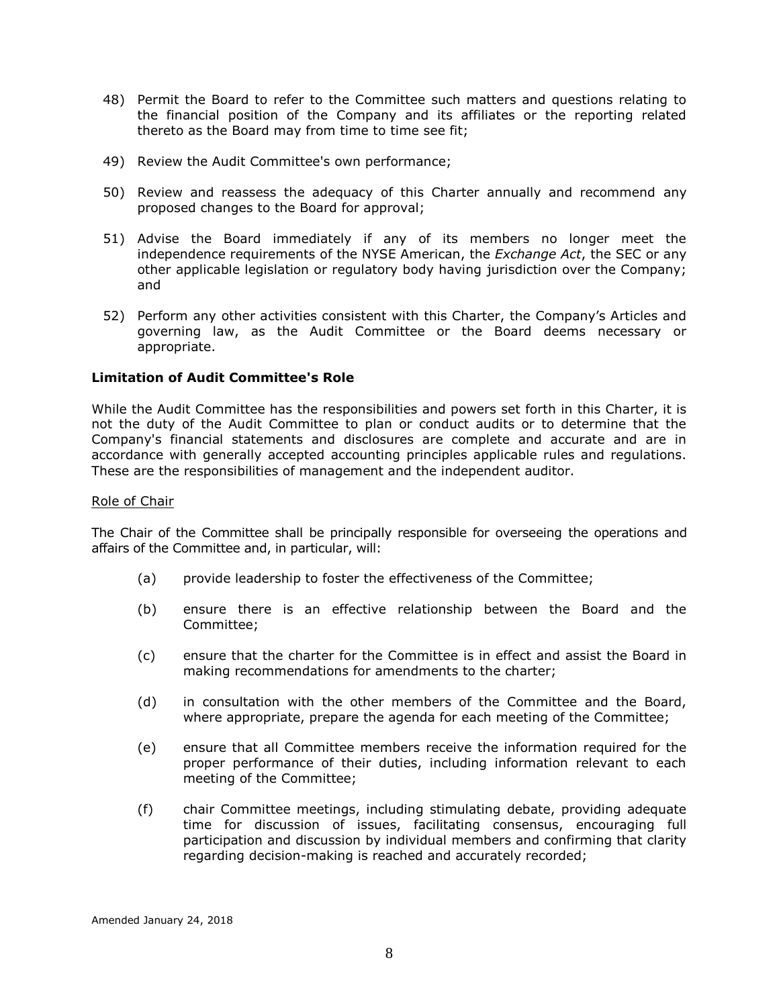- 48) Permit the Board to refer to the Committee such matters and questions relating to the financial position of the Company and its affiliates or the reporting related thereto as the Board may from time to time see fit;
- 49) Review the Audit Committee's own performance;
- 50) Review and reassess the adequacy of this Charter annually and recommend any proposed changes to the Board for approval;
- 51) Advise the Board immediately if any of its members no longer meet the independence requirements of the NYSE American, the *Exchange Act*, the SEC or any other applicable legislation or regulatory body having jurisdiction over the Company; and
- 52) Perform any other activities consistent with this Charter, the Company's Articles and governing law, as the Audit Committee or the Board deems necessary or appropriate.

#### **Limitation of Audit Committee's Role**

While the Audit Committee has the responsibilities and powers set forth in this Charter, it is not the duty of the Audit Committee to plan or conduct audits or to determine that the Company's financial statements and disclosures are complete and accurate and are in accordance with generally accepted accounting principles applicable rules and regulations. These are the responsibilities of management and the independent auditor.

#### Role of Chair

The Chair of the Committee shall be principally responsible for overseeing the operations and affairs of the Committee and, in particular, will:

- (a) provide leadership to foster the effectiveness of the Committee;
- (b) ensure there is an effective relationship between the Board and the Committee;
- (c) ensure that the charter for the Committee is in effect and assist the Board in making recommendations for amendments to the charter;
- (d) in consultation with the other members of the Committee and the Board, where appropriate, prepare the agenda for each meeting of the Committee;
- (e) ensure that all Committee members receive the information required for the proper performance of their duties, including information relevant to each meeting of the Committee;
- (f) chair Committee meetings, including stimulating debate, providing adequate time for discussion of issues, facilitating consensus, encouraging full participation and discussion by individual members and confirming that clarity regarding decision-making is reached and accurately recorded;